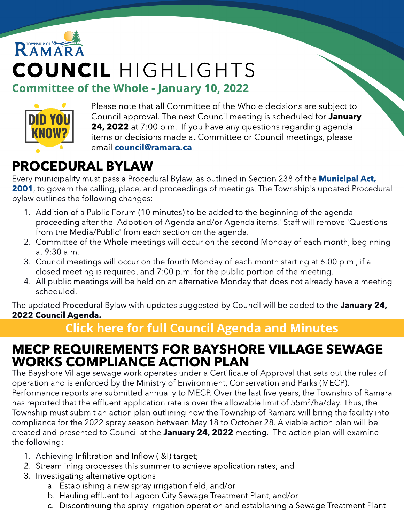



Please note that all Committee of the Whole decisions are subject to Council approval. The next Council meeting is scheduled for January 24, 2022 at 7:00 p.m. If you have any questions regarding agenda items or decisions made at Committee or Council meetings, please email [council@ramara.ca](mailto:council@ramara.ca).

## PROCEDURAL BYLAW

Every municipality must pass a Procedural Bylaw, as outlined in Section 238 of the **[Municipal](https://www.ontario.ca/laws/statute/01m25) [Act,](https://www.ontario.ca/laws/statute/01m25)** [2001](https://www.ontario.ca/laws/statute/01m25), to govern the calling, place, and proceedings of meetings. The Township's updated Procedural bylaw outlines the following changes:

- 1. Addition of a Public Forum (10 minutes) to be added to the beginning of the agenda proceeding after the 'Adoption of Agenda and/or Agenda items.' Staff will remove 'Questions from the Media/Public' from each section on the agenda.
- 2. Committee of the Whole meetings will occur on the second Monday of each month, beginning at 9:30 a.m.
- 3. Council meetings will occur on the fourth Monday of each month starting at 6:00 p.m., if a closed meeting is required, and 7:00 p.m. for the public portion of the meeting.
- 4. All public meetings will be held on an alternative Monday that does not already have a meeting scheduled.

The updated Procedural Bylaw with updates suggested by Council will be added to the January 24, 2022 Council Agenda.

#### **[Click](https://ramara.civicweb.net/portal/) [here](https://ramara.civicweb.net/portal/) [for](https://ramara.civicweb.net/portal/) [full](https://ramara.civicweb.net/portal/) [Council](https://ramara.civicweb.net/portal/) [Agenda](https://ramara.civicweb.net/portal/) [and](https://ramara.civicweb.net/portal/) [Minut](https://ramara.civicweb.net/portal/)es**

#### MECP REQUIREMENTS FOR BAYSHORE VILLAGE SEWAGE WORKS COMPLIANCE ACTION PLAN

The Bayshore Village sewage work operates under a Certificate of Approval that sets out the rules of operation and is enforced by the Ministry of Environment, Conservation and Parks (MECP). Performance reports are submitted annually to MECP. Over the last five years, the Township of Ramara has reported that the effluent application rate is over the allowable limit of 55m<sup>3</sup>/ha/day. Thus, the Township must submit an action plan outlining how the Township of Ramara will bring the facility into compliance for the 2022 spray season between May 18 to October 28. A viable action plan will be created and presented to Council at the January 24, 2022 meeting. The action plan will examine the following:

- 1. Achieving Infiltration and Inflow (I&I) target;
- 2. Streamlining processes this summer to achieve application rates; and
- 3. Investigating alternative options
	- a. Establishing a new spray irrigation field, and/or
	- b. Hauling effluent to Lagoon City Sewage Treatment Plant, and/or
	- c. Discontinuing the spray irrigation operation and establishing a Sewage Treatment Plant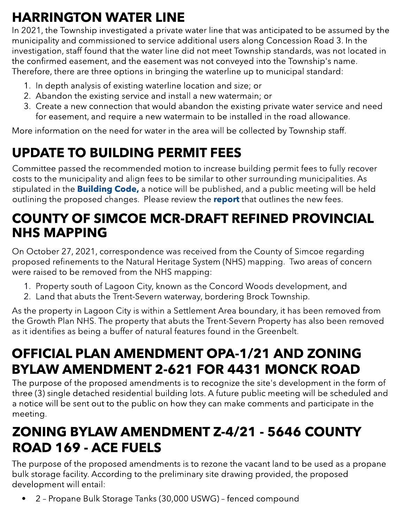# HARRINGTON WATER LINE

In 2021, the Township investigated a private water line that was anticipated to be assumed by the municipality and commissioned to service additional users along Concession Road 3. In the investigation, staff found that the water line did not meet Township standards, was not located in the confirmed easement, and the easement was not conveyed into the Township's name. Therefore, there are three options in bringing the waterline up to municipal standard:

- 1. In depth analysis of existing waterline location and size; or
- 2. Abandon the existing service and install a new watermain; or
- 3. Create a new connection that would abandon the existing private water service and need for easement, and require a new watermain to be installed in the road allowance.

More information on the need for water in the area will be collected by Township staff.

# UPDATE TO BUILDING PERMIT FEES

Committee passed the recommended motion to increase building permit fees to fully recover costs to the municipality and align fees to be similar to other surrounding municipalities. As stipulated in the **[Building](https://www.ontario.ca/laws/statute/92b23) [Code,](https://www.ontario.ca/laws/statute/92b23)** a notice will be published, and a public meeting will be held outlining the proposed changes. Please review the [report](https://ramara.civicweb.net/document/58070/A%20BYLAW%20TO%20AMEND%20BYLAW%202011.21%20BEING%20A%20BYLAW%20RE.pdf?handle=52A8FBD66E5F44C69EE29441ECA9EEC0) that outlines the new fees.

#### COUNTY OF SIMCOE MCR-DRAFT REFINED PROVINCIAL NHS MAPPING

On October 27, 2021, correspondence was received from the County of Simcoe regarding<br>prepared refinements to the Natural Heritage System (NHS) manning. Two areas of conservaproposed refinements to the Natural Heritage System (NHS) mapping. Two areas of concern were raised to be removed from the NHS mapping:

- 1. Property south of Lagoon City, known as the Concord Woods development, and
- 2. Land that abuts the Trent-Severn waterway, bordering Brock Township.

As the property in Lagoon City is within a Settlement Area boundary, it has been removed from the Growth Plan NHS. The property that abuts the Trent-Severn Property has also been removed as it identifies as being a buffer of natural features found in the Greenbelt.

# OFFICIAL PLAN AMENDMENT OPA-1/21 AND ZONING BYLAW AMENDMENT 2-621 FOR 4431 MONCK ROAD

The purpose of the proposed amendments is to recognize the site's development in the form of three (3) single detached residential building lots. A future public meeting will be scheduled and a notice will be sent out to the public on how they can make comments and participate in the meeting.

## ZONING BYLAW AMENDMENT Z-4/21 - 5646 COUNTY ROAD 169 - ACE FUELS

The purpose of the proposed amendments is to rezone the vacant land to be used as a propane bulk storage facility. According to the preliminary site drawing provided, the proposed development will entail:

• 2 - Propane Bulk Storage Tanks (30,000 USWG) - fenced compound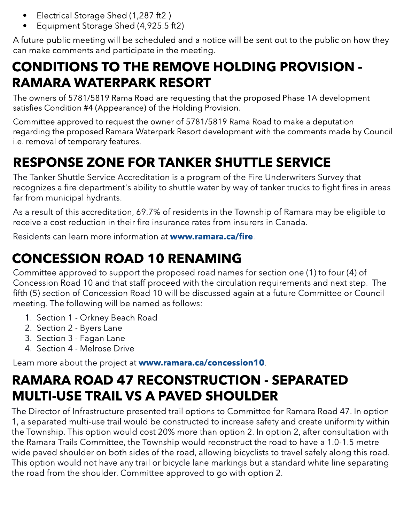- Electrical Storage Shed (1,287 ft2)
- Equipment Storage Shed (4,925.5 ft2)

A future public meeting will be scheduled and a notice will be sent out to the public on how they can make comments and participate in the meeting.

### CONDITIONS TO THE REMOVE HOLDING PROVISION - RAMARA WATERPARK RESORT

The owners of 5781/5819 Rama Road are requesting that the proposed Phase 1A development satisfies Condition #4 (Appearance) of the Holding Provision.

Committee approved to request the owner of 5781/5819 Rama Road to make a deputation regarding the proposed Ramara Waterpark Resort development with the comments made by Council i.e. removal of temporary features.

# RESPONSE ZONE FOR TANKER SHUTTLE SERVICE

The Tanker Shuttle Service Accreditation is a program of the Fire Underwriters Survey that recognizes a fire department's ability to shuttle water by way of tanker trucks to fight fires in areas far from municipal hydrants.

As a result of this accreditation, 69.7% of residents in the Township of Ramara may be eligible to receive a cost reduction in their fire insurance rates from insurers in Canada.

Residents can learn more information at ww[w.ramara.ca/fire](http://www.ramara.ca).

### CONCESSION ROAD 10 RENAMING

Committee approved to support the proposed road names for section one (1) to four (4) of Concession Road 10 and that staff proceed with the circulation requirements and next step. The fifth (5) section of Concession Road 10 will be discussed again at a future Committee or Council meeting. The following will be named as follows:

- 1. Section 1 Orkney Beach Road
- 1. Section 1 Orkney Beach Road<br>2. Section 2 Byers Lane
	- 3. Section 3 Fagan Lane
	- 4. Section 4 Melrose Drive

Learn more about the project at www.ramara.ca/[concession10](http://www.ramara.ca/concession10).

### RAMARA ROAD 47 RECONSTRUCTION - SEPARATED MULTI-USE TRAIL VS A PAVED SHOULDER

The Director of Infrastructure presented trail options to Committee for Ramara Road 47. In option 1, a separated multi-use trail would be constructed to increase safety and create uniformity within the Township. This option would cost 20% more than option 2. In option 2, after consultation with the Ramara Trails Committee, the Township would reconstruct the road to have a 1.0-1.5 metre wide paved shoulder on both sides of the road, allowing bicyclists to travel safely along this road. This option would not have any trail or bicycle lane markings but a standard white line separating the road from the shoulder. Committee approved to go with option 2.